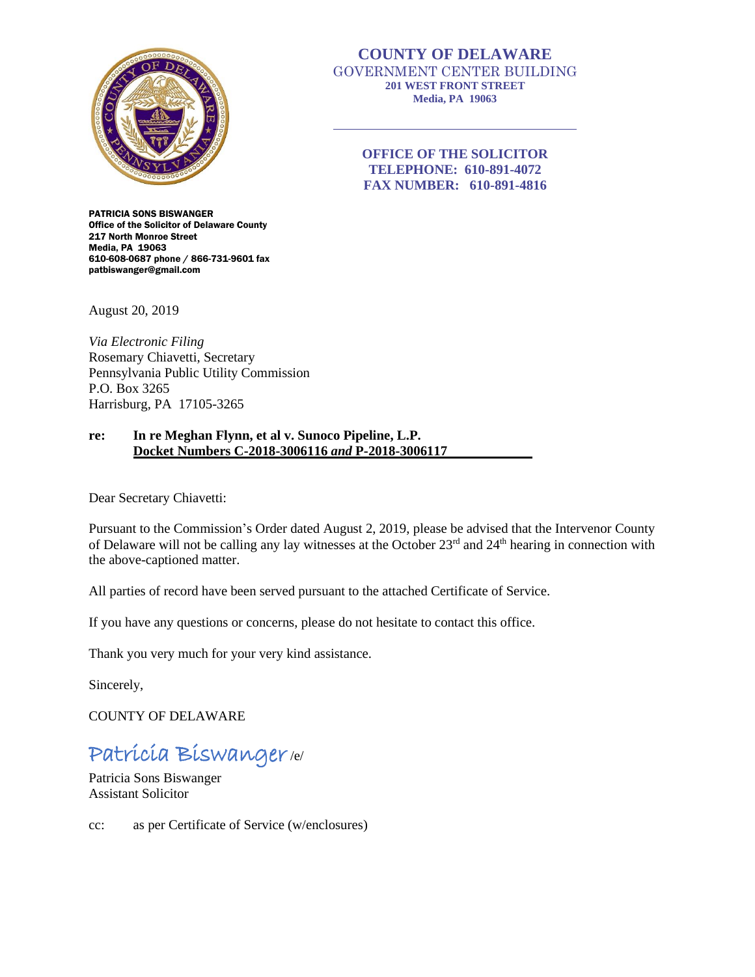

# **COUNTY OF DELAWARE** GOVERNMENT CENTER BUILDING **201 WEST FRONT STREET Media, PA 19063**

**OFFICE OF THE SOLICITOR TELEPHONE: 610-891-4072 FAX NUMBER: 610-891-4816**

PATRICIA SONS BISWANGER Office of the Solicitor of Delaware County 217 North Monroe Street Media, PA 19063 610-608-0687 phone / 866-731-9601 fax patbiswanger@gmail.com

August 20, 2019

*Via Electronic Filing* Rosemary Chiavetti, Secretary Pennsylvania Public Utility Commission P.O. Box 3265 Harrisburg, PA 17105-3265

## **re: In re Meghan Flynn, et al v. Sunoco Pipeline, L.P. Docket Numbers C-2018-3006116** *and* **P-2018-3006117**

Dear Secretary Chiavetti:

Pursuant to the Commission's Order dated August 2, 2019, please be advised that the Intervenor County of Delaware will not be calling any lay witnesses at the October 23rd and 24th hearing in connection with the above-captioned matter.

All parties of record have been served pursuant to the attached Certificate of Service.

If you have any questions or concerns, please do not hesitate to contact this office.

Thank you very much for your very kind assistance.

Sincerely,

COUNTY OF DELAWARE

# Patricia Biswanger/e/

Patricia Sons Biswanger Assistant Solicitor

cc: as per Certificate of Service (w/enclosures)